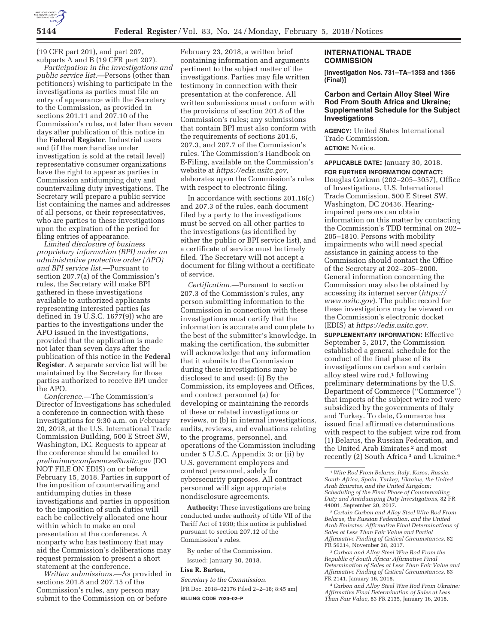

(19 CFR part 201), and part 207, subparts A and B (19 CFR part 207).

*Participation in the investigations and public service list.*—Persons (other than petitioners) wishing to participate in the investigations as parties must file an entry of appearance with the Secretary to the Commission, as provided in sections 201.11 and 207.10 of the Commission's rules, not later than seven days after publication of this notice in the **Federal Register**. Industrial users and (if the merchandise under investigation is sold at the retail level) representative consumer organizations have the right to appear as parties in Commission antidumping duty and countervailing duty investigations. The Secretary will prepare a public service list containing the names and addresses of all persons, or their representatives, who are parties to these investigations upon the expiration of the period for filing entries of appearance.

*Limited disclosure of business proprietary information (BPI) under an administrative protective order (APO) and BPI service list.*—Pursuant to section 207.7(a) of the Commission's rules, the Secretary will make BPI gathered in these investigations available to authorized applicants representing interested parties (as defined in  $19$  U.S.C.  $1677(9)$ ) who are parties to the investigations under the APO issued in the investigations, provided that the application is made not later than seven days after the publication of this notice in the **Federal Register**. A separate service list will be maintained by the Secretary for those parties authorized to receive BPI under the APO.

*Conference.*—The Commission's Director of Investigations has scheduled a conference in connection with these investigations for 9:30 a.m. on February 20, 2018, at the U.S. International Trade Commission Building, 500 E Street SW, Washington, DC. Requests to appear at the conference should be emailed to *preliminaryconferences@usitc.gov* (DO NOT FILE ON EDIS) on or before February 15, 2018. Parties in support of the imposition of countervailing and antidumping duties in these investigations and parties in opposition to the imposition of such duties will each be collectively allocated one hour within which to make an oral presentation at the conference. A nonparty who has testimony that may aid the Commission's deliberations may request permission to present a short statement at the conference.

*Written submissions.*—As provided in sections 201.8 and 207.15 of the Commission's rules, any person may submit to the Commission on or before

February 23, 2018, a written brief containing information and arguments pertinent to the subject matter of the investigations. Parties may file written testimony in connection with their presentation at the conference. All written submissions must conform with the provisions of section 201.8 of the Commission's rules; any submissions that contain BPI must also conform with the requirements of sections 201.6, 207.3, and 207.7 of the Commission's rules. The Commission's Handbook on E-Filing, available on the Commission's website at *https://edis.usitc.gov,*  elaborates upon the Commission's rules with respect to electronic filing.

In accordance with sections 201.16(c) and 207.3 of the rules, each document filed by a party to the investigations must be served on all other parties to the investigations (as identified by either the public or BPI service list), and a certificate of service must be timely filed. The Secretary will not accept a document for filing without a certificate of service.

*Certification.*—Pursuant to section 207.3 of the Commission's rules, any person submitting information to the Commission in connection with these investigations must certify that the information is accurate and complete to the best of the submitter's knowledge. In making the certification, the submitter will acknowledge that any information that it submits to the Commission during these investigations may be disclosed to and used: (i) By the Commission, its employees and Offices, and contract personnel (a) for developing or maintaining the records of these or related investigations or reviews, or (b) in internal investigations, audits, reviews, and evaluations relating to the programs, personnel, and operations of the Commission including under 5 U.S.C. Appendix 3; or (ii) by U.S. government employees and contract personnel, solely for cybersecurity purposes. All contract personnel will sign appropriate nondisclosure agreements.

**Authority:** These investigations are being conducted under authority of title VII of the Tariff Act of 1930; this notice is published pursuant to section 207.12 of the Commission's rules.

By order of the Commission. Issued: January 30, 2018.

# **Lisa R. Barton,**

*Secretary to the Commission.*  [FR Doc. 2018–02176 Filed 2–2–18; 8:45 am] **BILLING CODE 7020–02–P** 

### **INTERNATIONAL TRADE COMMISSION**

**[Investigation Nos. 731–TA–1353 and 1356 (Final)]** 

### **Carbon and Certain Alloy Steel Wire Rod From South Africa and Ukraine; Supplemental Schedule for the Subject Investigations**

**AGENCY:** United States International Trade Commission. **ACTION:** Notice.

**APPLICABLE DATE:** January 30, 2018. **FOR FURTHER INFORMATION CONTACT:**  Douglas Corkran (202–205–3057), Office of Investigations, U.S. International Trade Commission, 500 E Street SW, Washington, DC 20436. Hearingimpaired persons can obtain information on this matter by contacting the Commission's TDD terminal on 202– 205–1810. Persons with mobility impairments who will need special assistance in gaining access to the Commission should contact the Office of the Secretary at 202–205–2000. General information concerning the Commission may also be obtained by accessing its internet server (*https:// www.usitc.gov*). The public record for these investigations may be viewed on the Commission's electronic docket (EDIS) at *https://edis.usitc.gov.*  **SUPPLEMENTARY INFORMATION:** Effective

September 5, 2017, the Commission established a general schedule for the conduct of the final phase of its investigations on carbon and certain alloy steel wire  $\text{rod}, 1$  following preliminary determinations by the U.S. Department of Commerce (''Commerce'') that imports of the subject wire rod were subsidized by the governments of Italy and Turkey. To date, Commerce has issued final affirmative determinations with respect to the subject wire rod from (1) Belarus, the Russian Federation, and the United Arab Emirates<sup>2</sup> and most recently (2) South Africa 3 and Ukraine.4

4*Carbon and Alloy Steel Wire Rod From Ukraine: Affirmative Final Determination of Sales at Less Than Fair Value,* 83 FR 2135, January 16, 2018.

<sup>1</sup>*Wire Rod From Belarus, Italy, Korea, Russia, South Africa, Spain, Turkey, Ukraine, the United Arab Emirates, and the United Kingdom; Scheduling of the Final Phase of Countervailing Duty and Antidumping Duty Investigations,* 82 FR 44001, September 20, 2017.

<sup>2</sup>*Certain Carbon and Alloy Steel Wire Rod From Belarus, the Russian Federation, and the United Arab Emirates: Affirmative Final Determinations of Sales at Less Than Fair Value and Partial Affirmative Finding of Critical Circumstances,* 82 FR 56214, November 28, 2017.

<sup>3</sup>*Carbon and Alloy Steel Wire Rod From the Republic of South Africa: Affirmative Final Determination of Sales at Less Than Fair Value and Affirmative Finding of Critical Circumstances,* 83 FR 2141, January 16, 2018.